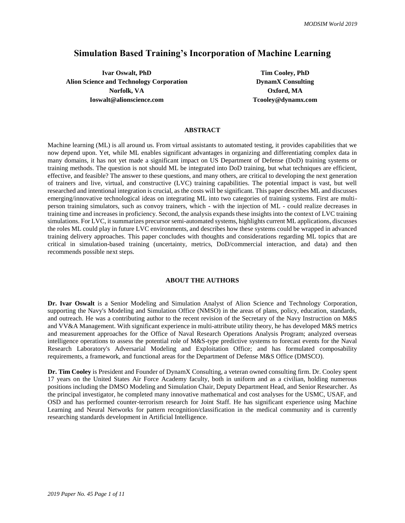## **Simulation Based Training's Incorporation of Machine Learning**

**Ivar Oswalt, PhD Tim Cooley, PhD Alion Science and Technology Corporation DynamX Consulting Norfolk, VA Oxford, MA Ioswalt@alionscience.com Tcooley@dynamx.com** 

### **ABSTRACT**

Machine learning (ML) is all around us. From virtual assistants to automated testing, it provides capabilities that we now depend upon. Yet, while ML enables significant advantages in organizing and differentiating complex data in many domains, it has not yet made a significant impact on US Department of Defense (DoD) training systems or training methods. The question is not should ML be integrated into DoD training, but what techniques are efficient, effective, and feasible? The answer to these questions, and many others, are critical to developing the next generation of trainers and live, virtual, and constructive (LVC) training capabilities. The potential impact is vast, but well researched and intentional integration is crucial, as the costs will be significant. This paper describes ML and discusses emerging/innovative technological ideas on integrating ML into two categories of training systems. First are multiperson training simulators, such as convoy trainers, which - with the injection of ML - could realize decreases in training time and increases in proficiency. Second, the analysis expands these insights into the context of LVC training simulations. For LVC, it summarizes precursor semi-automated systems, highlights current ML applications, discusses the roles ML could play in future LVC environments, and describes how these systems could be wrapped in advanced training delivery approaches. This paper concludes with thoughts and considerations regarding ML topics that are critical in simulation-based training (uncertainty, metrics, DoD/commercial interaction, and data) and then recommends possible next steps*.* 

#### **ABOUT THE AUTHORS**

**Dr. Ivar Oswalt** is a Senior Modeling and Simulation Analyst of Alion Science and Technology Corporation, supporting the Navy's Modeling and Simulation Office (NMSO) in the areas of plans, policy, education, standards, and outreach. He was a contributing author to the recent revision of the Secretary of the Navy Instruction on M&S and VV&A Management. With significant experience in multi-attribute utility theory, he has developed M&S metrics and measurement approaches for the Office of Naval Research Operations Analysis Program; analyzed overseas intelligence operations to assess the potential role of M&S-type predictive systems to forecast events for the Naval Research Laboratory's Adversarial Modeling and Exploitation Office; and has formulated composability requirements, a framework, and functional areas for the Department of Defense M&S Office (DMSCO).

**Dr. Tim Cooley** is President and Founder of DynamX Consulting, a veteran owned consulting firm. Dr. Cooley spent 17 years on the United States Air Force Academy faculty, both in uniform and as a civilian, holding numerous positions including the DMSO Modeling and Simulation Chair, Deputy Department Head, and Senior Researcher. As the principal investigator, he completed many innovative mathematical and cost analyses for the USMC, USAF, and OSD and has performed counter-terrorism research for Joint Staff. He has significant experience using Machine Learning and Neural Networks for pattern recognition/classification in the medical community and is currently researching standards development in Artificial Intelligence.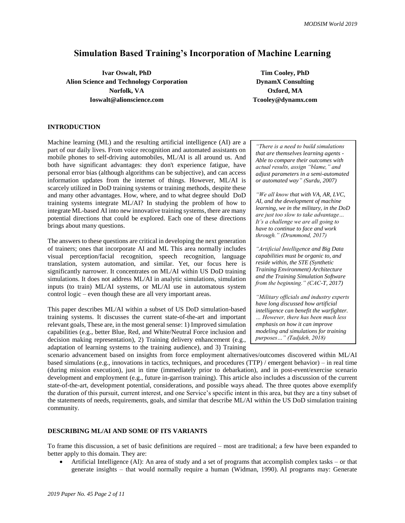# **Simulation Based Training's Incorporation of Machine Learning**

**Ivar Oswalt, PhD Tim Cooley, PhD Alion Science and Technology Corporation DynamX Consulting Norfolk, VA Oxford, MA Ioswalt@alionscience.com Tcooley@dynamx.com** 

## **INTRODUCTION**

Machine learning (ML) and the resulting artificial intelligence (AI) are a part of our daily lives. From voice recognition and automated assistants on mobile phones to self-driving automobiles, ML/AI is all around us. And both have significant advantages: they don't experience fatigue, have personal error bias (although algorithms can be subjective), and can access information updates from the internet of things. However, ML/AI is scarcely utilized in DoD training systems or training methods, despite these and many other advantages. How, where, and to what degree should DoD training systems integrate ML/AI? In studying the problem of how to integrate ML-based AI into new innovative training systems, there are many potential directions that could be explored. Each one of these directions brings about many questions.

The answers to these questions are critical in developing the next generation of trainers; ones that incorporate AI and ML This area normally includes visual perception/facial recognition, speech recognition, language translation, system automation, and similar. Yet, our focus here is significantly narrower. It concentrates on ML/AI within US DoD training simulations. It does not address ML/AI in analytic simulations, simulation inputs (to train) ML/AI systems, or ML/AI use in automatous system control logic – even though these are all very important areas.

This paper describes ML/AI within a subset of US DoD simulation-based training systems. It discusses the current state-of-the-art and important relevant goals, These are, in the most general sense: 1) Improved simulation capabilities (e.g., better Blue, Red, and White/Neutral Force inclusion and decision making representation), 2) Training delivery enhancement (e.g., adaptation of learning systems to the training audience), and 3) Training

*"There is a need to build simulations that are themselves learning agents - Able to compare their outcomes with actual results, assign "blame," and adjust parameters in a semi-automated or automated way" (Surdu, 2007)*

*"We all know that with VA, AR, LVC, AI, and the development of machine learning, we in the military, in the DoD are just too slow to take advantage… It's a challenge we are all going to have to continue to face and work through." (Drummond, 2017)*

*"Artificial Intelligence and Big Data capabilities must be organic to, and reside within, the STE (Synthetic Training Environment) Architecture and the Training Simulation Software from the beginning." (CAC-T, 2017)*

*"Military officials and industry experts have long discussed how artificial intelligence can benefit the warfighter. … However, there has been much less emphasis on how it can improve modeling and simulations for training purposes…" (Tadjdeh, 2018)*

scenario advancement based on insights from force employment alternatives/outcomes discovered within ML/AI based simulations (e.g., innovations in tactics, techniques, and procedures (TTP) / emergent behavior) – in real time (during mission execution), just in time (immediately prior to debarkation), and in post-event/exercise scenario development and employment (e.g., future in-garrison training). This article also includes a discussion of the current state-of-the-art, development potential, considerations, and possible ways ahead. The three quotes above exemplify the duration of this pursuit, current interest, and one Service's specific intent in this area, but they are a tiny subset of the statements of needs, requirements, goals, and similar that describe ML/AI within the US DoD simulation training community.

#### **DESCRIBING ML/AI AND SOME OF ITS VARIANTS**

To frame this discussion, a set of basic definitions are required – most are traditional; a few have been expanded to better apply to this domain. They are:

• Artificial Intelligence (AI): An area of study and a set of programs that accomplish complex tasks – or that generate insights – that would normally require a human (Widman, 1990). AI programs may: Generate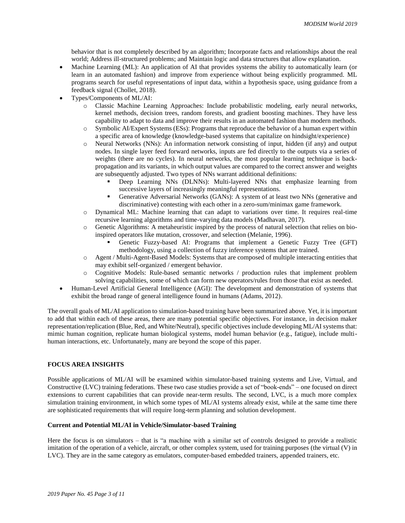behavior that is not completely described by an algorithm; Incorporate facts and relationships about the real world; Address ill-structured problems; and Maintain logic and data structures that allow explanation.

- Machine Learning (ML): An application of AI that provides systems the ability to automatically learn (or learn in an automated fashion) and improve from experience without being explicitly programmed. ML programs search for useful representations of input data, within a hypothesis space, using guidance from a feedback signal (Chollet, 2018).
- Types/Components of ML/AI:
	- o Classic Machine Learning Approaches: Include probabilistic modeling, early neural networks, kernel methods, decision trees, random forests, and gradient boosting machines. They have less capability to adapt to data and improve their results in an automated fashion than modern methods.
	- o Symbolic AI/Expert Systems (ESs): Programs that reproduce the behavior of a human expert within a specific area of knowledge (knowledge-based systems that capitalize on hindsight/experience)
	- o Neural Networks (NNs): An information network consisting of input, hidden (if any) and output nodes. In single layer feed forward networks, inputs are fed directly to the outputs via a series of weights (there are no cycles). In neural networks, the most popular learning technique is backpropagation and its variants, in which output values are compared to the correct answer and weights are subsequently adjusted. Two types of NNs warrant additional definitions:
		- Deep Learning NNs (DLNNs): Multi-layered NNs that emphasize learning from successive layers of increasingly meaningful representations.
		- Generative Adversarial Networks (GANs): A system of at least two NNs (generative and discriminative) contesting with each other in a zero-sum/minimax game framework.
	- o Dynamical ML: Machine learning that can adapt to variations over time. It requires real-time recursive learning algorithms and time-varying data models (Madhavan, 2017).
	- o Genetic Algorithms: A metaheuristic inspired by the process of natural selection that relies on bioinspired operators like mutation, crossover, and selection (Melanie, 1996).
		- Genetic Fuzzy-based AI: Programs that implement a Genetic Fuzzy Tree (GFT) methodology, using a collection of fuzzy inference systems that are trained.
	- o Agent / Multi-Agent-Based Models: Systems that are composed of multiple interacting entities that may exhibit self-organized / emergent behavior.
	- o Cognitive Models: Rule-based semantic networks / production rules that implement problem solving capabilities, some of which can form new operators/rules from those that exist as needed.
- Human-Level Artificial General Intelligence (AGI): The development and demonstration of systems that exhibit the broad range of general intelligence found in humans (Adams, 2012).

The overall goals of ML/AI application to simulation-based training have been summarized above. Yet, it is important to add that within each of these areas, there are many potential specific objectives. For instance, in decision maker representation/replication (Blue, Red, and White/Neutral), specific objectives include developing ML/AI systems that: mimic human cognition, replicate human biological systems, model human behavior (e.g., fatigue), include multihuman interactions, etc. Unfortunately, many are beyond the scope of this paper.

## **FOCUS AREA INSIGHTS**

Possible applications of ML/AI will be examined within simulator-based training systems and Live, Virtual, and Constructive (LVC) training federations. These two case studies provide a set of "book-ends" – one focused on direct extensions to current capabilities that can provide near-term results. The second, LVC, is a much more complex simulation training environment, in which some types of ML/AI systems already exist, while at the same time there are sophisticated requirements that will require long-term planning and solution development.

#### **Current and Potential ML/AI in Vehicle/Simulator-based Training**

Here the focus is on simulators – that is "a machine with a similar set of controls designed to provide a realistic imitation of the operation of a vehicle, aircraft, or other complex system, used for training purposes (the virtual (V) in LVC). They are in the same category as emulators, computer-based embedded trainers, appended trainers, etc.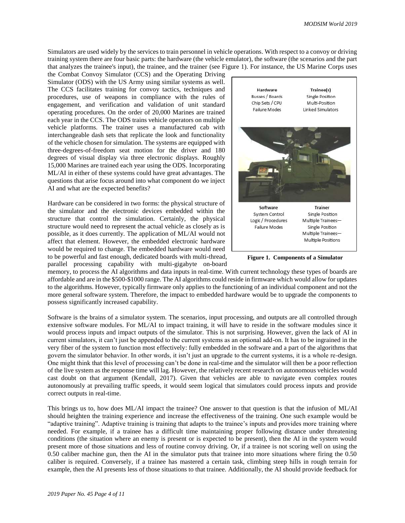Simulators are used widely by the services to train personnel in vehicle operations. With respect to a convoy or driving training system there are four basic parts: the hardware (the vehicle emulator), the software (the scenarios and the part that analyzes the trainee's input), the trainee, and the trainer (see Figure 1). For instance, the US Marine Corps uses

the Combat Convoy Simulator (CCS) and the Operating Driving Simulator (ODS) with the US Army using similar systems as well. The CCS facilitates training for convoy tactics, techniques and procedures, use of weapons in compliance with the rules of engagement, and verification and validation of unit standard operating procedures. On the order of 20,000 Marines are trained each year in the CCS. The ODS trains vehicle operators on multiple vehicle platforms. The trainer uses a manufactured cab with interchangeable dash sets that replicate the look and functionality of the vehicle chosen for simulation. The systems are equipped with three-degrees-of-freedom seat motion for the driver and 180 degrees of visual display via three electronic displays. Roughly 15,000 Marines are trained each year using the ODS. Incorporating ML/AI in either of these systems could have great advantages. The questions that arise focus around into what component do we inject AI and what are the expected benefits?

Hardware can be considered in two forms: the physical structure of the simulator and the electronic devices embedded within the structure that control the simulation. Certainly, the physical structure would need to represent the actual vehicle as closely as is possible, as it does currently. The application of ML/AI would not affect that element. However, the embedded electronic hardware would be required to change. The embedded hardware would need to be powerful and fast enough, dedicated boards with multi-thread,

parallel processing capability with multi-gigabyte on-board

Hardware Trainee(s) Busses / Boards Single Position Multi-Position Chip Sets / CPU Failure Modes Linked Simulators Software **Trainer** System Control Single Position Logic / Procedures Multiple Trainees-Failure Modes Single Position Multiple Trainees-Multiple Positions

**Figure 1. Components of a Simulator**

memory, to process the AI algorithms and data inputs in real-time. With current technology these types of boards are affordable and are in the \$500-\$1000 range. The AI algorithms could reside in firmware which would allow for updates to the algorithms. However, typically firmware only applies to the functioning of an individual component and not the more general software system. Therefore, the impact to embedded hardware would be to upgrade the components to possess significantly increased capability.

Software is the brains of a simulator system. The scenarios, input processing, and outputs are all controlled through extensive software modules. For ML/AI to impact training, it will have to reside in the software modules since it would process inputs and impact outputs of the simulator. This is not surprising. However, given the lack of AI in current simulators, it can't just be appended to the current systems as an optional add-on. It has to be ingrained in the very fiber of the system to function most effectively: fully embedded in the software and a part of the algorithms that govern the simulator behavior. In other words, it isn't just an upgrade to the current systems, it is a whole re-design. One might think that this level of processing can't be done in real-time and the simulator will then be a poor reflection of the live system as the response time will lag. However, the relatively recent research on autonomous vehicles would cast doubt on that argument (Kendall, 2017). Given that vehicles are able to navigate even complex routes autonomously at prevailing traffic speeds, it would seem logical that simulators could process inputs and provide correct outputs in real-time.

This brings us to, how does ML/AI impact the trainee? One answer to that question is that the infusion of ML/AI should heighten the training experience and increase the effectiveness of the training. One such example would be "adaptive training". Adaptive training is training that adapts to the trainee's inputs and provides more training where needed. For example, if a trainee has a difficult time maintaining proper following distance under threatening conditions (the situation where an enemy is present or is expected to be present), then the AI in the system would present more of those situations and less of routine convoy driving. Or, if a trainee is not scoring well on using the 0.50 caliber machine gun, then the AI in the simulator puts that trainee into more situations where firing the 0.50 caliber is required. Conversely, if a trainee has mastered a certain task, climbing steep hills in rough terrain for example, then the AI presents less of those situations to that trainee. Additionally, the AI should provide feedback for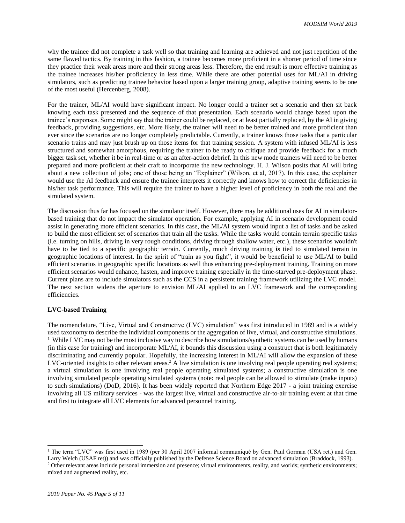why the trainee did not complete a task well so that training and learning are achieved and not just repetition of the same flawed tactics. By training in this fashion, a trainee becomes more proficient in a shorter period of time since they practice their weak areas more and their strong areas less. Therefore, the end result is more effective training as the trainee increases his/her proficiency in less time. While there are other potential uses for ML/AI in driving simulators, such as predicting trainee behavior based upon a larger training group, adaptive training seems to be one of the most useful (Hercenberg, 2008).

For the trainer, ML/AI would have significant impact. No longer could a trainer set a scenario and then sit back knowing each task presented and the sequence of that presentation. Each scenario would change based upon the trainee's responses. Some might say that the trainer could be replaced, or at least partially replaced, by the AI in giving feedback, providing suggestions, etc. More likely, the trainer will need to be better trained and more proficient than ever since the scenarios are no longer completely predictable. Currently, a trainer knows those tasks that a particular scenario trains and may just brush up on those items for that training session. A system with infused ML/AI is less structured and somewhat amorphous, requiring the trainer to be ready to critique and provide feedback for a much bigger task set, whether it be in real-time or as an after-action debrief. In this new mode trainers will need to be better prepared and more proficient at their craft to incorporate the new technology. H. J. Wilson posits that AI will bring about a new collection of jobs; one of those being an "Explainer" (Wilson, et al, 2017). In this case, the explainer would use the AI feedback and ensure the trainee interprets it correctly and knows how to correct the deficiencies in his/her task performance. This will require the trainer to have a higher level of proficiency in both the real and the simulated system.

The discussion thus far has focused on the simulator itself. However, there may be additional uses for AI in simulatorbased training that do not impact the simulator operation. For example, applying AI in scenario development could assist in generating more efficient scenarios. In this case, the ML/AI system would input a list of tasks and be asked to build the most efficient set of scenarios that train all the tasks. While the tasks would contain terrain specific tasks (i.e. turning on hills, driving in very rough conditions, driving through shallow water, etc.), these scenarios wouldn't have to be tied to a specific geographic terrain. Currently, much driving training *is* tied to simulated terrain in geographic locations of interest. In the spirit of "train as you fight", it would be beneficial to use ML/AI to build efficient scenarios in geographic specific locations as well thus enhancing pre-deployment training. Training on more efficient scenarios would enhance, hasten, and improve training especially in the time-starved pre-deployment phase. Current plans are to include simulators such as the CCS in a persistent training framework utilizing the LVC model. The next section widens the aperture to envision ML/AI applied to an LVC framework and the corresponding efficiencies.

#### **LVC-based Training**

The nomenclature, "Live, Virtual and Constructive (LVC) simulation" was first introduced in 1989 and is a widely used taxonomy to describe the individual components or the aggregation of live, virtual, and constructive simulations. <sup>1</sup> While LVC may not be the most inclusive way to describe how simulations/synthetic systems can be used by humans (in this case for training) and incorporate ML/AI, it bounds this discussion using a construct that is both legitimately discriminating and currently popular. Hopefully, the increasing interest in ML/AI will allow the expansion of these LVC-oriented insights to other relevant areas.<sup>2</sup> A live simulation is one involving real people operating real systems; a virtual simulation is one involving real people operating simulated systems; a constructive simulation is one involving simulated people operating simulated systems (note: real people can be allowed to stimulate (make inputs) to such simulations) (DoD, 2016). It has been widely reported that Northern Edge 2017 **-** a joint training exercise involving all US military services - was the largest live, virtual and constructive air-to-air training event at that time and first to integrate all LVC elements for advanced personnel training.

 $\overline{a}$ 

<sup>&</sup>lt;sup>1</sup> The term "LVC" was first used in 1989 (per 30 April 2007 informal communiqué by Gen. Paul Gorman (USA ret.) and Gen.

Larry Welch (USAF ret)) and was officially published by the Defense Science Board on advanced simulation (Braddock, 1993). <sup>2</sup> Other relevant areas include personal immersion and presence; virtual environments, reality, and worlds; synthetic environments; mixed and augmented reality, etc.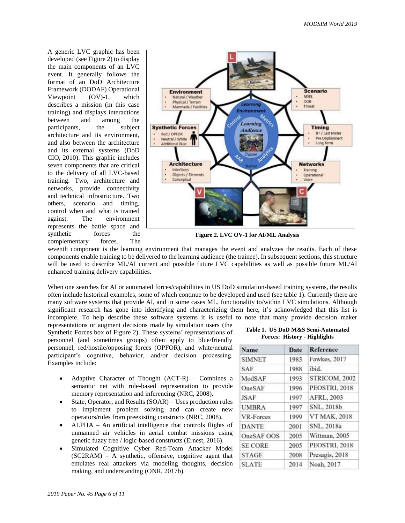A generic LVC graphic has been developed (see Figure 2) to display the main components of an LVC event. It generally follows the format of an DoD Architecture Framework (DODAF) Operational Viewpoint (OV)-1, which describes a mission (in this case training) and displays interactions between and among the participants, the subject architecture and its environment, and also between the architecture and its external systems (DoD CIO, 2010). This graphic includes seven components that are critical to the delivery of all LVC-based training. Two, architecture and networks, provide connectivity and technical infrastructure. Two others, scenario and timing, control when and what is trained against. The environment represents the battle space and synthetic forces the complementary forces. The



**Figure 2. LVC OV-1 for AI/ML Analysis**

seventh component is the learning environment that manages the event and analyzes the results. Each of these components enable training to be delivered to the learning audience (the trainee). In subsequent sections, this structure will be used to describe ML/AI current and possible future LVC capabilities as well as possible future ML/AI enhanced training delivery capabilities.

When one searches for AI or automated forces/capabilities in US DoD simulation-based training systems, the results often include historical examples, some of which continue to be developed and used (see table 1). Currently there are many software systems that provide AI, and in some cases ML, functionality to/within LVC simulations. Although significant research has gone into identifying and characterizing them here, it's acknowledged that this list is incomplete. To help describe these software systems it is useful to note that many provide decision maker

representations or augment decisions made by simulation users (the Synthetic Forces box of Figure 2). These systems' representations of personnel (and sometimes groups) often apply to blue/friendly personnel, red/hostile/opposing forces (OPFOR), and white/neutral participant's cognitive, behavior, and/or decision processing. Examples include:

- Adaptive Character of Thought  $(ACT-R)$  Combines a semantic net with rule-based representation to provide memory representation and inferencing (NRC, 2008).
- State, Operator, and Results (SOAR) Uses production rules to implement problem solving and can create new operators/rules from preexisting constructs (NRC, 2008).
- ALPHA An artificial intelligence that controls flights of unmanned air vehicles in aerial combat missions using genetic fuzzy tree / logic-based constructs (Ernest, 2016).
- Simulated Cognitive Cyber Red-Team Attacker Model (SC2RAM) – A synthetic, offensive, cognitive agent that emulates real attackers via modeling thoughts, decision making, and understanding (ONR, 2017b).

#### **Table 1. US DoD M&S Semi-Automated Forces: History - Highlights**

| <b>Name</b>    | Date | <b>Reference</b>    |
|----------------|------|---------------------|
| <b>SIMNET</b>  | 1983 | Fawkes, 2017        |
| <b>SAF</b>     | 1988 | ibid.               |
| ModSAF         | 1993 | STRICOM, 2002       |
| OneSAF         | 1996 | PEOSTRI, 2018       |
| <b>JSAF</b>    | 1997 | AFRL, 2003          |
| <b>UMBRA</b>   | 1997 | SNL, 2018b          |
| VR-Forces      | 1999 | <b>VT MAK, 2018</b> |
| <b>DANTE</b>   | 2001 | SNL, 2018a          |
| OneSAF OOS     | 2005 | Wittman, 2005       |
| <b>SE CORE</b> | 2005 | PEOSTRI, 2018       |
| <b>STAGE</b>   | 2008 | Presagis, 2018      |
| <b>SLATE</b>   | 2014 | Noah, 2017          |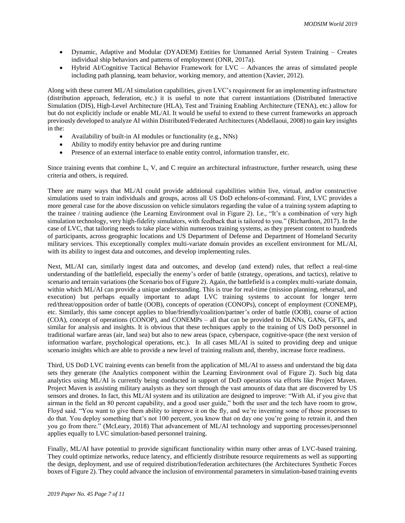- Dynamic, Adaptive and Modular (DYADEM) Entities for Unmanned Aerial System Training Creates individual ship behaviors and patterns of employment (ONR, 2017a).
- Hybrid AI/Cognitive Tactical Behavior Framework for LVC Advances the areas of simulated people including path planning, team behavior, working memory, and attention (Xavier, 2012).

Along with these current ML/AI simulation capabilities, given LVC's requirement for an implementing infrastructure (distribution approach, federation, etc.) it is useful to note that current instantiations (Distributed Interactive Simulation (DIS), High-Level Architecture (HLA), Test and Training Enabling Architecture (TENA), etc.) allow for but do not explicitly include or enable ML/AI. It would be useful to extend to these current frameworks an approach previously developed to analyze AI within Distributed/Federated Architectures (Abdellaoui, 2008) to gain key insights in the:

- Availability of built-in AI modules or functionality (e.g., NNs)
- Ability to modify entity behavior pre and during runtime
- Presence of an external interface to enable entity control, information transfer, etc.

Since training events that combine L, V, and C require an architectural infrastructure, further research, using these criteria and others, is required.

There are many ways that ML/AI could provide additional capabilities within live, virtual, and/or constructive simulations used to train individuals and groups, across all US DoD echelons-of-command. First, LVC provides a more general case for the above discussion on vehicle simulators regarding the value of a training system adapting to the trainee / training audience (the Learning Environment oval in Figure 2). I.e., "It's a combination of very high simulation technology, very high-fidelity simulators, with feedback that is tailored to you." (Richardson, 2017). In the case of LVC, that tailoring needs to take place within numerous training systems, as they present content to hundreds of participants, across geographic locations and US Department of Defense and Department of Homeland Security military services. This exceptionally complex multi-variate domain provides an excellent environment for ML/AI, with its ability to ingest data and outcomes, and develop implementing rules.

Next, ML/AI can, similarly ingest data and outcomes, and develop (and extend) rules, that reflect a real-time understanding of the battlefield, especially the enemy's order of battle (strategy, operations, and tactics), relative to scenario and terrain variations (the Scenario box of Figure 2). Again, the battlefield is a complex multi-variate domain, within which ML/AI can provide a unique understanding. This is true for real-time (mission planning, rehearsal, and execution) but perhaps equally important to adapt LVC training systems to account for longer term red/threat/opposition order of battle (OOB), concepts of operation (CONOPs), concept of employment (CONEMP), etc. Similarly, this same concept applies to blue/friendly/coalition/partner's order of battle (OOB), course of action (COA), concept of operations (CONOP), and CONEMPs – all that can be provided to DLNNs, GANs, GFTs, and similar for analysis and insights. It is obvious that these techniques apply to the training of US DoD personnel in traditional warfare areas (air, land sea) but also to new areas (space, cyberspace, cognitive-space (the next version of information warfare, psychological operations, etc.). In all cases ML/AI is suited to providing deep and unique scenario insights which are able to provide a new level of training realism and, thereby, increase force readiness.

Third, US DoD LVC training events can benefit from the application of ML/AI to assess and understand the big data sets they generate (the Analytics component within the Learning Environment oval of Figure 2). Such big data analytics using ML/AI is currently being conducted in support of DoD operations via efforts like Project Maven. Project Maven is assisting military analysts as they sort through the vast amounts of data that are discovered by US sensors and drones. In fact, this ML/AI system and its utilization are designed to improve: "With AI, if you give that airman in the field an 80 percent capability, and a good user guide," both the user and the tech have room to grow, Floyd said. "You want to give them ability to improve it on the fly, and we're inventing some of those processes to do that. You deploy something that's not 100 percent, you know that on day one you're going to retrain it, and then you go from there." (McLeary, 2018) That advancement of ML/AI technology and supporting processes/personnel applies equally to LVC simulation-based personnel training.

Finally, ML/AI have potential to provide significant functionality within many other areas of LVC-based training. They could optimize networks, reduce latency, and efficiently distribute resource requirements as well as supporting the design, deployment, and use of required distribution/federation architectures (the Architectures Synthetic Forces boxes of Figure 2). They could advance the inclusion of environmental parameters in simulation-based training events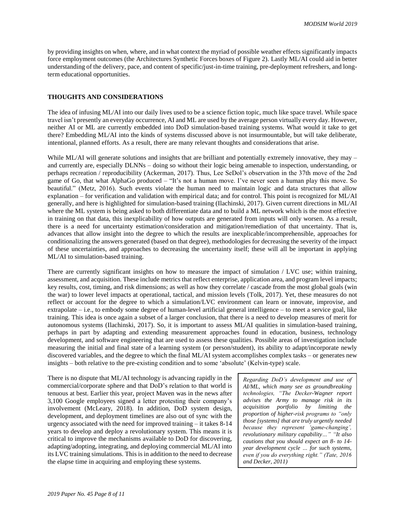by providing insights on when, where, and in what context the myriad of possible weather effects significantly impacts force employment outcomes (the Architectures Synthetic Forces boxes of Figure 2). Lastly ML/AI could aid in better understanding of the delivery, pace, and content of specific/just-in-time training, pre-deployment refreshers, and longterm educational opportunities.

#### **THOUGHTS AND CONSIDERATIONS**

The idea of infusing ML/AI into our daily lives used to be a science fiction topic, much like space travel. While space travel isn't presently an everyday occurrence, AI and ML are used by the average person virtually every day. However, neither AI or ML are currently embedded into DoD simulation-based training systems. What would it take to get there? Embedding ML/AI into the kinds of systems discussed above is not insurmountable, but will take deliberate, intentional, planned efforts. As a result, there are many relevant thoughts and considerations that arise.

While ML/AI will generate solutions and insights that are brilliant and potentially extremely innovative, they may – and currently are, especially DLNNs – doing so without their logic being amenable to inspection, understanding, or perhaps recreation / reproducibility (Ackerman, 2017). Thus, Lee SeDol's observation in the 37th move of the 2nd game of Go, that what AlphaGo produced – "It's not a human move. I've never seen a human play this move. So beautiful." (Metz, 2016). Such events violate the human need to maintain logic and data structures that allow explanation – for verification and validation with empirical data; and for control. This point is recognized for ML/AI generally, and here is highlighted for simulation-based training (Ilachinski, 2017). Given current directions in ML/AI where the ML system is being asked to both differentiate data and to build a ML network which is the most effective in training on that data, this inexplicability of how outputs are generated from inputs will only worsen. As a result, there is a need for uncertainty estimation/consideration and mitigation/remediation of that uncertainty. That is, advances that allow insight into the degree to which the results are inexplicable/incomprehensible, approaches for conditionalizing the answers generated (based on that degree), methodologies for decreasing the severity of the impact of these uncertainties, and approaches to decreasing the uncertainty itself; these will all be important in applying ML/AI to simulation-based training.

There are currently significant insights on how to measure the impact of simulation / LVC use; within training, assessment, and acquisition. These include metrics that reflect enterprise, application area, and program level impacts; key results, cost, timing, and risk dimensions; as well as how they correlate / cascade from the most global goals (win the war) to lower level impacts at operational, tactical, and mission levels (Tolk, 2017). Yet, these measures do not reflect or account for the degree to which a simulation/LVC environment can learn or innovate, improvise, and extrapolate – i.e., to embody some degree of human-level artificial general intelligence – to meet a service goal, like training. This idea is once again a subset of a larger conclusion, that there is a need to develop measures of merit for autonomous systems (Ilachinski, 2017). So, it is important to assess ML/AI qualities in simulation-based training, perhaps in part by adapting and extending measurement approaches found in education, business, technology development, and software engineering that are used to assess these qualities. Possible areas of investigation include measuring the initial and final state of a learning system (or person/student), its ability to adapt/incorporate newly discovered variables, and the degree to which the final ML/AI system accomplishes complex tasks – or generates new insights – both relative to the pre-existing condition and to some 'absolute' (Kelvin-type) scale.

There is no dispute that ML/AI technology is advancing rapidly in the commercial/corporate sphere and that DoD's relation to that world is tenuous at best. Earlier this year, project Maven was in the news after 3,100 Google employees signed a letter protesting their company's involvement (McLeary, 2018). In addition, DoD system design, development, and deployment timelines are also out of sync with the urgency associated with the need for improved training – it takes 8-14 years to develop and deploy a revolutionary system. This means it is critical to improve the mechanisms available to DoD for discovering, adapting/adopting, integrating, and deploying commercial ML/AI into its LVC training simulations. This is in addition to the need to decrease the elapse time in acquiring and employing these systems.

*Regarding DoD's development and use of AI/ML, which many see as groundbreaking technologies, "The Decker-Wagner report advises the Army to manage risk in its acquisition portfolio by limiting the proportion of higher-risk programs to "only those [systems] that are truly urgently needed because they represent 'game-changing', revolutionary military capability…" "It also cautions that you should expect an 8- to 14 year development cycle … for such systems, even if you do everything right." (Tate, 2016 and Decker, 2011)*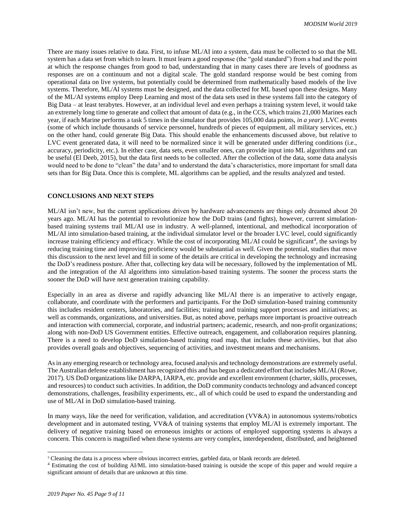There are many issues relative to data. First, to infuse ML/AI into a system, data must be collected to so that the ML system has a data set from which to learn. It must learn a good response (the "gold standard") from a bad and the point at which the response changes from good to bad, understanding that in many cases there are levels of goodness as responses are on a continuum and not a digital scale. The gold standard response would be best coming from operational data on live systems, but potentially could be determined from mathematically based models of the live systems. Therefore, ML/AI systems must be designed, and the data collected for ML based upon these designs. Many of the ML/AI systems employ Deep Learning and most of the data sets used in these systems fall into the category of Big Data – at least terabytes. However, at an individual level and even perhaps a training system level, it would take an extremely long time to generate and collect that amount of data (e.g., in the CCS, which trains 21,000 Marines each year, if each Marine performs a task 5 times in the simulator that provides 105,000 data points, *in a year).* LVC events (some of which include thousands of service personnel, hundreds of pieces of equipment, all military services, etc.) on the other hand, could generate Big Data. This should enable the enhancements discussed above, but relative to LVC event generated data, it will need to be normalized since it will be generated under differing conditions (i.e., accuracy, periodicity, etc.). In either case, data sets, even smaller ones, can provide input into ML algorithms and can be useful (El Deeb, 2015), but the data first needs to be collected. After the collection of the data, some data analysis would need to be done to "clean" the data<sup>3</sup> and to understand the data's characteristics, more important for small data sets than for Big Data. Once this is complete, ML algorithms can be applied, and the results analyzed and tested.

#### **CONCLUSIONS AND NEXT STEPS**

ML/AI isn't new, but the current applications driven by hardware advancements are things only dreamed about 20 years ago. ML/AI has the potential to revolutionize how the DoD trains (and fights), however, current simulationbased training systems trail ML/AI use in industry. A well-planned, intentional, and methodical incorporation of ML/AI into simulation-based training, at the individual simulator level or the broader LVC level, could significantly increase training efficiency and efficacy. While the cost of incorporating ML/AI could be significant<sup>4</sup>, the savings by reducing training time and improving proficiency would be substantial as well. Given the potential, studies that move this discussion to the next level and fill in some of the details are critical in developing the technology and increasing the DoD's readiness posture. After that, collecting key data will be necessary, followed by the implementation of ML and the integration of the AI algorithms into simulation-based training systems. The sooner the process starts the sooner the DoD will have next generation training capability.

Especially in an area as diverse and rapidly advancing like ML/AI there is an imperative to actively engage, collaborate, and coordinate with the performers and participants. For the DoD simulation-based training community this includes resident centers, laboratories, and facilities; training and training support processes and initiatives; as well as commands, organizations, and universities. But, as noted above, perhaps more important is proactive outreach and interaction with commercial, corporate, and industrial partners; academic, research, and non-profit organizations; along with non-DoD US Government entities. Effective outreach, engagement, and collaboration requires planning. There is a need to develop DoD simulation-based training road map, that includes these activities, but that also provides overall goals and objectives, sequencing of activities, and investment means and mechanisms.

As in any emerging research or technology area, focused analysis and technology demonstrations are extremely useful. The Australian defense establishment has recognized this and has begun a dedicated effort that includes ML/AI (Rowe, 2017). US DoD organizations like DARPA, IARPA, etc. provide and excellent environment (charter, skills, processes, and resources) to conduct such activities. In addition, the DoD community conducts technology and advanced concept demonstrations, challenges, feasibility experiments, etc., all of which could be used to expand the understanding and use of ML/AI in DoD simulation-based training.

In many ways, like the need for verification, validation, and accreditation (VV&A) in autonomous systems/robotics development and in automated testing, VV&A of training systems that employ ML/AI is extremely important. The delivery of negative training based on erroneous insights or actions of employed supporting systems is always a concern. This concern is magnified when these systems are very complex, interdependent, distributed, and heightened

l

<sup>&</sup>lt;sup>3</sup> Cleaning the data is a process where obvious incorrect entries, garbled data, or blank records are deleted.

<sup>4</sup> Estimating the cost of building AI/ML into simulation-based training is outside the scope of this paper and would require a significant amount of details that are unknown at this time.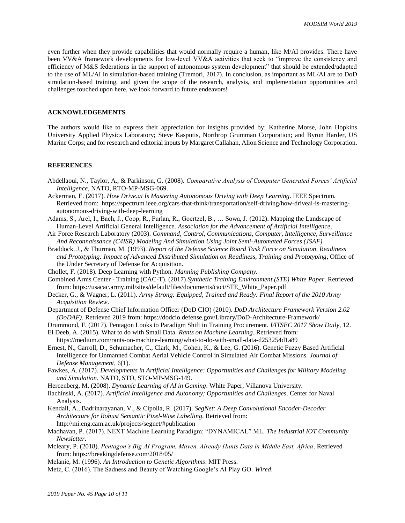even further when they provide capabilities that would normally require a human, like M/AI provides. There have been VV&A framework developments for low-level VV&A activities that seek to "improve the consistency and efficiency of M&S federations in the support of autonomous system development" that should be extended/adapted to the use of ML/AI in simulation-based training (Tremori, 2017). In conclusion, as important as ML/AI are to DoD simulation-based training, and given the scope of the research, analysis, and implementation opportunities and challenges touched upon here, we look forward to future endeavors!

#### **ACKNOWLEDGEMENTS**

The authors would like to express their appreciation for insights provided by: Katherine Morse, John Hopkins University Applied Physics Laboratory; Steve Kasputis, Northrop Grumman Corporation; and Byron Harder, US Marine Corps; and for research and editorial inputs by Margaret Callahan, Alion Science and Technology Corporation.

#### **REFERENCES**

- Abdellaoui, N., Taylor, A., & Parkinson, G. (2008). *Comparative Analysis of Computer Generated Forces' Artificial Intelligence*, NATO, RTO-MP-MSG-069.
- Ackerman, E. (2017). *How Drive.ai Is Mastering Autonomous Driving with Deep Learning*. IEEE Spectrum. Retrieved from: https://spectrum.ieee.org/cars-that-think/transportation/self-driving/how-driveai-is-masteringautonomous-driving-with-deep-learning
- Adams, S., Arel, I., Bach, J., Coop, R., Furlan, R., Goertzel, B., … Sowa, J. (2012). Mapping the Landscape of Human-Level Artificial General Intelligence. *Association for the Advancement of Artificial Intelligence*.
- Air Force Research Laboratory (2003). *Command, Control, Communications, Computer, Intelligence, Surveillance And Reconnaissance (C4ISR) Modeling And Simulation Using Joint Semi-Automated Forces (JSAF).*
- Braddock, J., & Thurman, M. (1993). *Report of the Defense Science Board Task Force on Simulation, Readiness and Prototyping: Impact of Advanced Distributed Simulation on Readiness, Training and Prototyping*, Office of the Under Secretary of Defense for Acquisition.
- Chollet, F. (2018). Deep Learning with Python. *Manning Publishing Company.*
- Combined Arms Center Training (CAC-T). (2017) *Synthetic Training Environment (STE) White Paper*. Retrieved from: https://usacac.army.mil/sites/default/files/documents/cact/STE\_White\_Paper.pdf
- Decker, G., & Wagner, L. (2011). *Army Strong: Equipped, Trained and Ready: Final Report of the 2010 Army Acquisition Review*.
- Department of Defense Chief Information Officer (DoD CIO) (2010). *DoD Architecture Framework Version 2.02 (DoDAF)*. Retrieved 2019 from: https://dodcio.defense.gov/Library/DoD-Architecture-Framework/
- Drummond, F. (2017). Pentagon Looks to Paradigm Shift in Training Procurement. *I/ITSEC 2017 Show Daily*, 12.

El Deeb, A. (2015). What to do with Small Data. *Rants on Machine Learning*. Retrieved from:

https://medium.com/rants-on-machine-learning/what-to-do-with-small-data-d253254d1a89 Ernest, N., Carroll, D., Schumacher, C., Clark, M., Cohen, K., & Lee, G. (2016). Genetic Fuzzy Based Artificial Intelligence for Unmanned Combat Aerial Vehicle Control in Simulated Air Combat Missions. *Journal of Defense Management*, 6(1).

- Fawkes, A. (2017). *Developments in Artificial Intelligence: Opportunities and Challenges for Military Modeling and Simulation*. NATO, STO, STO-MP-MSG-149.
- Hercenberg, M. (2008). *Dynamic Learning of AI in Gaming*. White Paper, Villanova University.
- Ilachinski, A. (2017). *Artificial Intelligence and Autonomy; Opportunities and Challenges*. Center for Naval Analysis.
- Kendall, A., Badrinarayanan, V., & Cipolla, R. (2017). *SegNet: A Deep Convolutional Encoder-Decoder Architecture for Robust Semantic Pixel-Wise Labelling*. Retrieved from: http://mi.eng.cam.ac.uk/projects/segnet/#publication
- Madhavan, P. (2017). NEXT Machine Learning Paradigm: "DYNAMICAL" ML. *The Industrial IOT Community Newsletter*.
- Mcleary, P. (2018). *Pentagon's Big AI Program, Maven, Already Hunts Data in Middle East, Africa*. Retrieved from: https://breakingdefense.com/2018/05/
- Melanie, M. (1996). *An Introduction to Genetic Algorithms*. MIT Press.
- Metz, C. (2016). The Sadness and Beauty of Watching Google's AI Play GO. *Wired*.